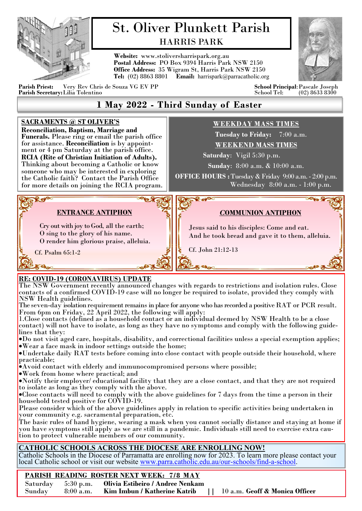

# St. Oliver Plunkett Parish HARRIS PARK

**Website:** www.stoliversharrispark.org.au **Postal Address:** PO Box 9394 Harris Park NSW 2150 **Office Address:** 35 Wigram St, Harris Park NSW 2150 **Tel:** (02) 8863 8801 **Email:** [harrispark@parracatholic.org](mailto:harrispark@parracatholic.org)



**Parish Priest:** Very Rev Chris de Souza VG EV PP **School Principal**:Pascale Joseph Parish Secretary: Lilia Tolentino

## **1 May 2022 - Third Sunday of Easter**

#### **SACRAMENTS @ ST OLIVER'S**

**Reconciliation, Baptism, Marriage and Funerals.** Please ring or email the parish office for assistance. **Reconciliation** is by appointment or 4 pm Saturday at the parish office. **RCIA (Rite of Christian Initiation of Adults).**  Thinking about becoming a Catholic or know someone who may be interested in exploring the Catholic faith? Contact the Parish Office for more details on joining the RCIA program.

## **WEEKDAY MASS TIMES**

 **Tuesday to Friday:** 7:00 a.m. **WEEKEND MASS TIMES**

 **Saturday**: Vigil 5:30 p.m.

**Sunday**: 8:00 a.m. & 10:00 a.m.

**OFFICE HOURS :** Tuesday & Friday 9:00 a.m. - 2:00 p.m. Wednesday 8:00 a.m. - 1:00 p.m.

## **ENTRANCE ANTIPHON**

Cry out with joy to God, all the earth; O sing to the glory of his name. O render him glorious praise, alleluia.

## *C***OMMUNION ANTIPHON**

Jesus said to his disciples: Come and eat. And he took bread and gave it to them, alleluia.

Cf. John 21:12-13

Cf. Psalm 65:1-2

**PROP** 

## . **RE: COVID-19 (CORONAVIRUS) UPDATE**

The NSW Government recently announced changes with regards to restrictions and isolation rules. Close contacts of a confirmed COVID-19 case will no longer be required to isolate, provided they comply with NSW Health guidelines.

The seven-day isolation requirement remains in place for anyone who has recorded a positive RAT or PCR result. From 6pm on Friday, 22 April 2022, the following will apply:

1.Close contacts (defined as a household contact or an individual deemed by NSW Health to be a close contact) will not have to isolate, as long as they have no symptoms and comply with the following guidelines that they:

•Do not visit aged care, hospitals, disability, and correctional facilities unless a special exemption applies; •Wear a face mask in indoor settings outside the home;

•Undertake daily RAT tests before coming into close contact with people outside their household, where practicable;

•Avoid contact with elderly and immunocompromised persons where possible;

•Work from home where practical; and

•Notify their employer/ educational facility that they are a close contact, and that they are not required to isolate as long as they comply with the above.

•Close contacts will need to comply with the above guidelines for 7 days from the time a person in their household tested positive for COVID-19.

Please consider which of the above guidelines apply in relation to specific activities being undertaken in your community e.g. sacramental preparation, etc.

The basic rules of hand hygiene, wearing a mask when you cannot socially distance and staying at home if you have symptoms still apply as we are still in a pandemic. Individuals still need to exercise extra caution to protect vulnerable members of our community.

### **CATHOLIC SCHOOLS ACROSS THE DIOCESE ARE ENROLLING NOW!**

Catholic Schools in the Diocese of Parramatta are enrolling now for 2023. To learn more please contact your local Catholic school or visit our website [www.parra.catholic.edu.au/our](http://www.parra.catholic.edu.au/our-schools/find-a-school)-schools/find-a-school.

## **PARISH READING ROSTER NEXT WEEK: 7/8 MAY**

|  | Saturday 5:30 p.m. Olivia Estibeiro / Andree Nenkam                              |  |
|--|----------------------------------------------------------------------------------|--|
|  | Sunday 8:00 a.m. Kim Imbun / Katherine Katrib     10 a.m. Geoff & Monica Officer |  |